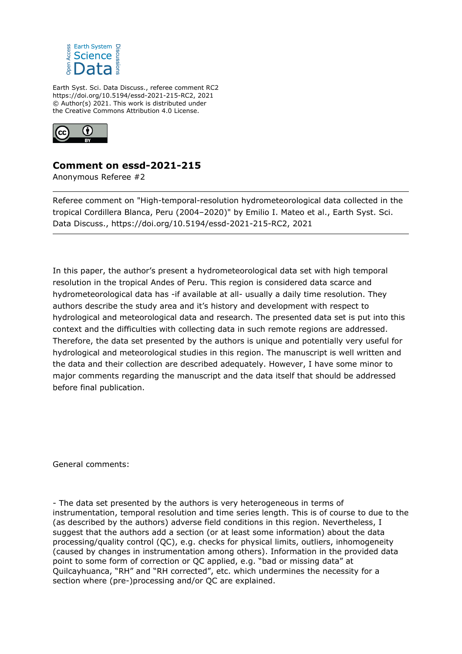

Earth Syst. Sci. Data Discuss., referee comment RC2 https://doi.org/10.5194/essd-2021-215-RC2, 2021 © Author(s) 2021. This work is distributed under the Creative Commons Attribution 4.0 License.



## **Comment on essd-2021-215**

Anonymous Referee #2

Referee comment on "High-temporal-resolution hydrometeorological data collected in the tropical Cordillera Blanca, Peru (2004–2020)" by Emilio I. Mateo et al., Earth Syst. Sci. Data Discuss., https://doi.org/10.5194/essd-2021-215-RC2, 2021

In this paper, the author's present a hydrometeorological data set with high temporal resolution in the tropical Andes of Peru. This region is considered data scarce and hydrometeorological data has -if available at all- usually a daily time resolution. They authors describe the study area and it's history and development with respect to hydrological and meteorological data and research. The presented data set is put into this context and the difficulties with collecting data in such remote regions are addressed. Therefore, the data set presented by the authors is unique and potentially very useful for hydrological and meteorological studies in this region. The manuscript is well written and the data and their collection are described adequately. However, I have some minor to major comments regarding the manuscript and the data itself that should be addressed before final publication.

General comments:

- The data set presented by the authors is very heterogeneous in terms of instrumentation, temporal resolution and time series length. This is of course to due to the (as described by the authors) adverse field conditions in this region. Nevertheless, I suggest that the authors add a section (or at least some information) about the data processing/quality control (QC), e.g. checks for physical limits, outliers, inhomogeneity (caused by changes in instrumentation among others). Information in the provided data point to some form of correction or QC applied, e.g. "bad or missing data" at Quilcayhuanca, "RH" and "RH corrected", etc. which undermines the necessity for a section where (pre-)processing and/or QC are explained.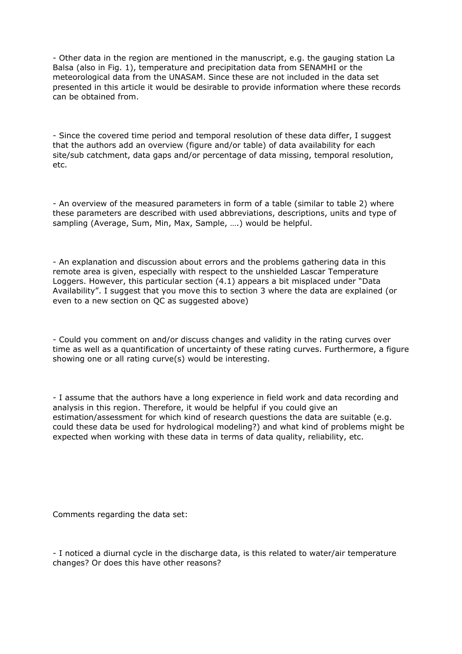- Other data in the region are mentioned in the manuscript, e.g. the gauging station La Balsa (also in Fig. 1), temperature and precipitation data from SENAMHI or the meteorological data from the UNASAM. Since these are not included in the data set presented in this article it would be desirable to provide information where these records can be obtained from.

- Since the covered time period and temporal resolution of these data differ, I suggest that the authors add an overview (figure and/or table) of data availability for each site/sub catchment, data gaps and/or percentage of data missing, temporal resolution, etc.

- An overview of the measured parameters in form of a table (similar to table 2) where these parameters are described with used abbreviations, descriptions, units and type of sampling (Average, Sum, Min, Max, Sample, ….) would be helpful.

- An explanation and discussion about errors and the problems gathering data in this remote area is given, especially with respect to the unshielded Lascar Temperature Loggers. However, this particular section (4.1) appears a bit misplaced under "Data Availability". I suggest that you move this to section 3 where the data are explained (or even to a new section on QC as suggested above)

- Could you comment on and/or discuss changes and validity in the rating curves over time as well as a quantification of uncertainty of these rating curves. Furthermore, a figure showing one or all rating curve(s) would be interesting.

- I assume that the authors have a long experience in field work and data recording and analysis in this region. Therefore, it would be helpful if you could give an estimation/assessment for which kind of research questions the data are suitable (e.g. could these data be used for hydrological modeling?) and what kind of problems might be expected when working with these data in terms of data quality, reliability, etc.

Comments regarding the data set:

- I noticed a diurnal cycle in the discharge data, is this related to water/air temperature changes? Or does this have other reasons?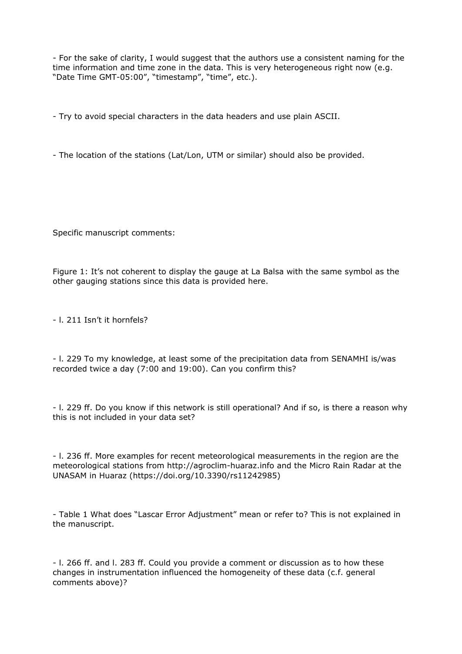- For the sake of clarity, I would suggest that the authors use a consistent naming for the time information and time zone in the data. This is very heterogeneous right now (e.g. "Date Time GMT-05:00", "timestamp", "time", etc.).

- Try to avoid special characters in the data headers and use plain ASCII.

- The location of the stations (Lat/Lon, UTM or similar) should also be provided.

Specific manuscript comments:

Figure 1: It's not coherent to display the gauge at La Balsa with the same symbol as the other gauging stations since this data is provided here.

- l. 211 Isn't it hornfels?

- l. 229 To my knowledge, at least some of the precipitation data from SENAMHI is/was recorded twice a day (7:00 and 19:00). Can you confirm this?

- l. 229 ff. Do you know if this network is still operational? And if so, is there a reason why this is not included in your data set?

- l. 236 ff. More examples for recent meteorological measurements in the region are the meteorological stations from http://agroclim-huaraz.info and the Micro Rain Radar at the UNASAM in Huaraz (https://doi.org/10.3390/rs11242985)

- Table 1 What does "Lascar Error Adjustment" mean or refer to? This is not explained in the manuscript.

- l. 266 ff. and l. 283 ff. Could you provide a comment or discussion as to how these changes in instrumentation influenced the homogeneity of these data (c.f. general comments above)?